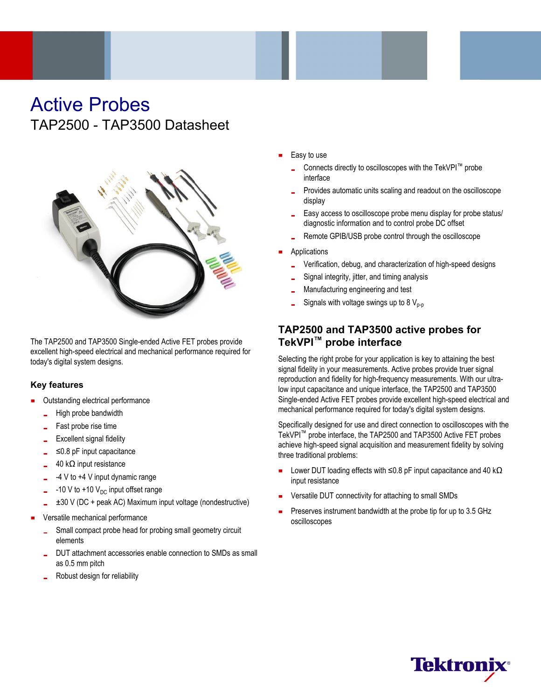## Active Probes TAP2500 - TAP3500 Datasheet



The TAP2500 and TAP3500 Single-ended Active FET probes provide excellent high-speed electrical and mechanical performance required for today's digital system designs.

#### **Key features**

- Outstanding electrical performance
	- High probe bandwidth
	- Fast probe rise time
	- Excellent signal fidelity
	- ≤0.8 pF input capacitance
	- 40 kΩ input resistance
	- -4 V to +4 V input dynamic range
	- -10 V to +10  $V_{\text{DC}}$  input offset range
	- ±30 V (DC + peak AC) Maximum input voltage (nondestructive)
- Versatile mechanical performance
	- Small compact probe head for probing small geometry circuit elements
	- DUT attachment accessories enable connection to SMDs as small as 0.5 mm pitch
	- Robust design for reliability
- Easy to use
	- Connects directly to oscilloscopes with the TekVPI™ probe interface
	- Provides automatic units scaling and readout on the oscilloscope display
	- Easy access to oscilloscope probe menu display for probe status/ diagnostic information and to control probe DC offset
	- Remote GPIB/USB probe control through the oscilloscope
- Applications
	- Verification, debug, and characterization of high-speed designs
	- Signal integrity, jitter, and timing analysis
	- Manufacturing engineering and test
	- Signals with voltage swings up to 8  $V_{p-p}$

## **TAP2500 and TAP3500 active probes for TekVPI™ probe interface**

Selecting the right probe for your application is key to attaining the best signal fidelity in your measurements. Active probes provide truer signal reproduction and fidelity for high-frequency measurements. With our ultralow input capacitance and unique interface, the TAP2500 and TAP3500 Single-ended Active FET probes provide excellent high-speed electrical and mechanical performance required for today's digital system designs.

Specifically designed for use and direct connection to oscilloscopes with the TekVPI™ probe interface, the TAP2500 and TAP3500 Active FET probes achieve high-speed signal acquisition and measurement fidelity by solving three traditional problems:

- $\blacksquare$ Lower DUT loading effects with ≤0.8 pF input capacitance and 40 kΩ input resistance
- Versatile DUT connectivity for attaching to small SMDs
- Preserves instrument bandwidth at the probe tip for up to 3.5 GHz oscilloscopes

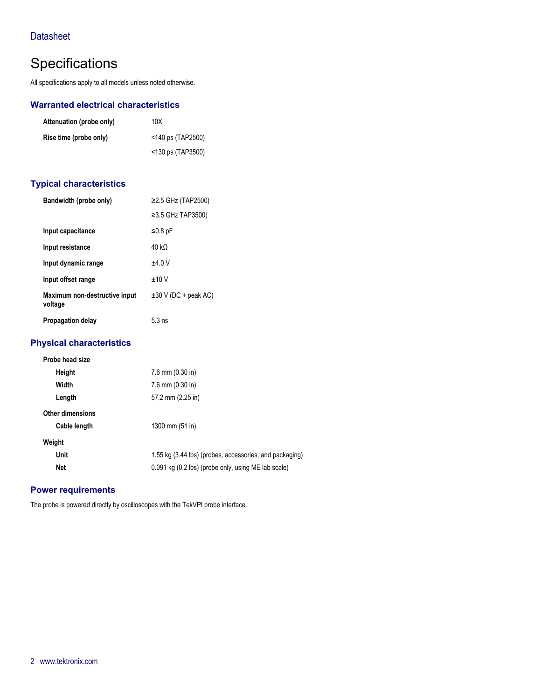## **Datasheet**

## **Specifications**

All specifications apply to all models unless noted otherwise.

#### **Warranted electrical characteristics**

| Attenuation (probe only) | 10X                  |
|--------------------------|----------------------|
| Rise time (probe only)   | $<$ 140 ps (TAP2500) |
|                          | <130 ps (TAP3500)    |

#### **Typical characteristics**

| Bandwidth (probe only)                   | $≥2.5$ GHz (TAP2500)      |
|------------------------------------------|---------------------------|
|                                          | $\geq$ 3.5 GHz TAP3500)   |
| Input capacitance                        | $≤0.8$ pF                 |
| Input resistance                         | 40 k $\Omega$             |
| Input dynamic range                      | ±4.0V                     |
| Input offset range                       | ±10V                      |
| Maximum non-destructive input<br>voltage | $\pm 30$ V (DC + peak AC) |
| <b>Propagation delay</b>                 | $5.3 \text{ ns}$          |

### **Physical characteristics**

| Probe head size         |                                                         |
|-------------------------|---------------------------------------------------------|
| Height                  | $7.6$ mm $(0.30)$ in                                    |
| Width                   | $7.6$ mm $(0.30)$ in                                    |
| Length                  | 57.2 mm (2.25 in)                                       |
| <b>Other dimensions</b> |                                                         |
| Cable length            | 1300 mm $(51$ in)                                       |
| Weight                  |                                                         |
| Unit                    | 1.55 kg (3.44 lbs) (probes, accessories, and packaging) |
| Net                     | 0.091 kg (0.2 lbs) (probe only, using ME lab scale)     |
|                         |                                                         |

#### **Power requirements**

The probe is powered directly by oscilloscopes with the TekVPI probe interface.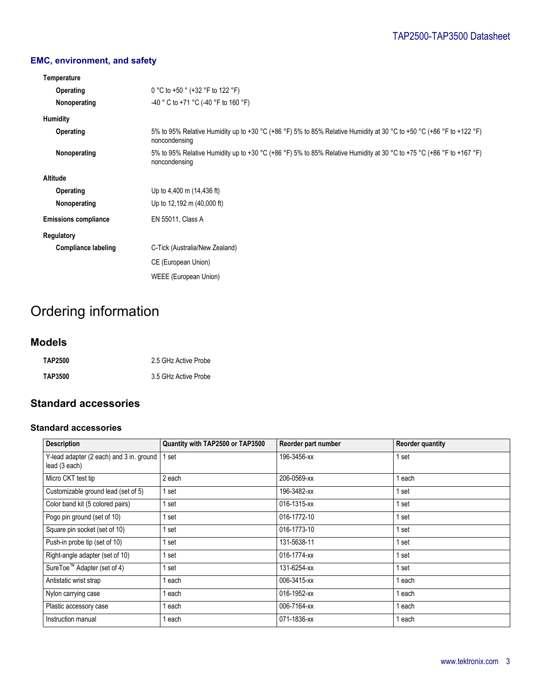## **EMC, environment, and safety**

| Temperature                 |                                                                                                                                       |
|-----------------------------|---------------------------------------------------------------------------------------------------------------------------------------|
| Operating                   | 0 °C to +50 ° (+32 °F to 122 °F)                                                                                                      |
| Nonoperating                | -40 ° C to +71 °C (-40 °F to 160 °F)                                                                                                  |
| Humidity                    |                                                                                                                                       |
| Operating                   | 5% to 95% Relative Humidity up to +30 °C (+86 °F) 5% to 85% Relative Humidity at 30 °C to +50 °C (+86 °F to +122 °F)<br>noncondensing |
| Nonoperating                | 5% to 95% Relative Humidity up to +30 °C (+86 °F) 5% to 85% Relative Humidity at 30 °C to +75 °C (+86 °F to +167 °F)<br>noncondensing |
| <b>Altitude</b>             |                                                                                                                                       |
| Operating                   | Up to 4,400 m (14,436 ft)                                                                                                             |
| Nonoperating                | Up to 12,192 m (40,000 ft)                                                                                                            |
| <b>Emissions compliance</b> | EN 55011, Class A                                                                                                                     |
| Regulatory                  |                                                                                                                                       |
| <b>Compliance labeling</b>  | C-Tick (Australia/New Zealand)                                                                                                        |
|                             | CE (European Union)                                                                                                                   |
|                             | WEEE (European Union)                                                                                                                 |

# Ordering information

## **Models**

| <b>TAP2500</b> | 2.5 GHz Active Probe |
|----------------|----------------------|
| TAP3500        | 3.5 GHz Active Probe |

## **Standard accessories**

#### **Standard accessories**

| <b>Description</b>                                        | Quantity with TAP2500 or TAP3500 | Reorder part number | <b>Reorder quantity</b> |
|-----------------------------------------------------------|----------------------------------|---------------------|-------------------------|
| Y-lead adapter (2 each) and 3 in. ground<br>lead (3 each) | 1 set                            | 196-3456-xx         | 1 set                   |
| Micro CKT test tip                                        | 2 each                           | 206-0569-xx         | l each                  |
| Customizable ground lead (set of 5)                       | 1 set                            | 196-3482-xx         | 1 set                   |
| Color band kit (5 colored pairs)                          | 1 set                            | 016-1315-xx         | 1 set                   |
| Pogo pin ground (set of 10)                               | 1 set                            | 016-1772-10         | 1 set                   |
| Square pin socket (set of 10)                             | 1 set                            | 016-1773-10         | 1 set                   |
| Push-in probe tip (set of 10)                             | 1 set                            | 131-5638-11         | 1 set                   |
| Right-angle adapter (set of 10)                           | 1 set                            | 016-1774-xx         | 1 set                   |
| SureToe <sup>™</sup> Adapter (set of 4)                   | 1 set                            | 131-6254-xx         | 1 set                   |
| Antistatic wrist strap                                    | 1 each                           | 006-3415-xx         | 1 each                  |
| Nylon carrying case                                       | 1 each                           | 016-1952-xx         | 1 each                  |
| Plastic accessory case                                    | 1 each                           | 006-7164-xx         | 1 each                  |
| Instruction manual                                        | 1 each                           | 071-1836-xx         | 1 each                  |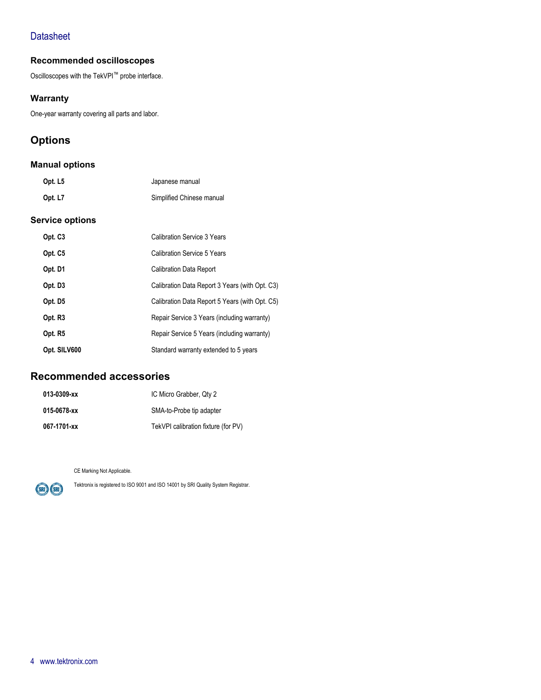## **Datasheet**

### **Recommended oscilloscopes**

Oscilloscopes with the TekVPI™ probe interface.

#### **Warranty**

One-year warranty covering all parts and labor.

## **Options**

#### **Manual options**

| Opt. L5 | Japanese manual           |
|---------|---------------------------|
| Opt. L7 | Simplified Chinese manual |

#### **Service options**

| Opt. C <sub>3</sub> | Calibration Service 3 Years                    |
|---------------------|------------------------------------------------|
| Opt. C <sub>5</sub> | Calibration Service 5 Years                    |
| Opt. D1             | <b>Calibration Data Report</b>                 |
| Opt. D <sub>3</sub> | Calibration Data Report 3 Years (with Opt. C3) |
| Opt. D <sub>5</sub> | Calibration Data Report 5 Years (with Opt. C5) |
| Opt. R <sub>3</sub> | Repair Service 3 Years (including warranty)    |
| Opt. R5             | Repair Service 5 Years (including warranty)    |
| Opt. SILV600        | Standard warranty extended to 5 years          |

## **Recommended accessories**

| 013-0309-xx | IC Micro Grabber, Qty 2             |
|-------------|-------------------------------------|
| 015-0678-xx | SMA-to-Probe tip adapter            |
| 067-1701-xx | TekVPI calibration fixture (for PV) |

CE Marking Not Applicable.



Tektronix is registered to ISO 9001 and ISO 14001 by SRI Quality System Registrar.